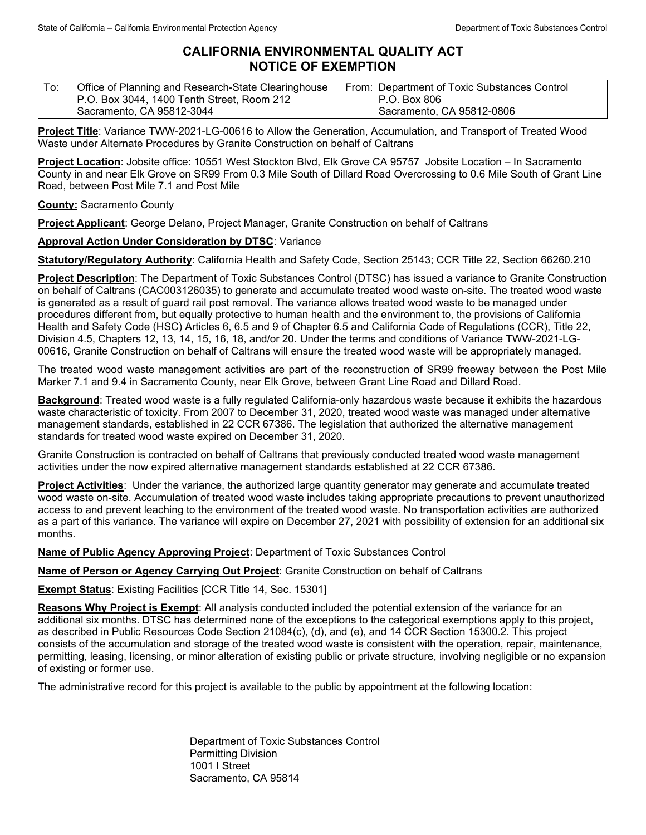## **CALIFORNIA ENVIRONMENTAL QUALITY ACT NOTICE OF EXEMPTION**

| $\mathsf{T}$ o: | Office of Planning and Research-State Clearinghouse | From: Department of Toxic Substances Control |
|-----------------|-----------------------------------------------------|----------------------------------------------|
|                 | P.O. Box 3044, 1400 Tenth Street, Room 212          | P.O. Box 806                                 |
|                 | Sacramento, CA 95812-3044                           | Sacramento, CA 95812-0806                    |

**Project Title**: Variance TWW-2021-LG-00616 to Allow the Generation, Accumulation, and Transport of Treated Wood Waste under Alternate Procedures by Granite Construction on behalf of Caltrans

**Project Location**: Jobsite office: 10551 West Stockton Blvd, Elk Grove CA 95757 Jobsite Location – In Sacramento County in and near Elk Grove on SR99 From 0.3 Mile South of Dillard Road Overcrossing to 0.6 Mile South of Grant Line Road, between Post Mile 7.1 and Post Mile

**County:** Sacramento County

**Project Applicant**: George Delano, Project Manager, Granite Construction on behalf of Caltrans

## **Approval Action Under Consideration by DTSC**: Variance

**Statutory/Regulatory Authority**: California Health and Safety Code, Section 25143; CCR Title 22, Section 66260.210

**Project Description**: The Department of Toxic Substances Control (DTSC) has issued a variance to Granite Construction on behalf of Caltrans (CAC003126035) to generate and accumulate treated wood waste on-site. The treated wood waste is generated as a result of guard rail post removal. The variance allows treated wood waste to be managed under procedures different from, but equally protective to human health and the environment to, the provisions of California Health and Safety Code (HSC) Articles 6, 6.5 and 9 of Chapter 6.5 and California Code of Regulations (CCR), Title 22, Division 4.5, Chapters 12, 13, 14, 15, 16, 18, and/or 20. Under the terms and conditions of Variance TWW-2021-LG-00616, Granite Construction on behalf of Caltrans will ensure the treated wood waste will be appropriately managed.

The treated wood waste management activities are part of the reconstruction of SR99 freeway between the Post Mile Marker 7.1 and 9.4 in Sacramento County, near Elk Grove, between Grant Line Road and Dillard Road.

**Background**: Treated wood waste is a fully regulated California-only hazardous waste because it exhibits the hazardous waste characteristic of toxicity. From 2007 to December 31, 2020, treated wood waste was managed under alternative management standards, established in 22 CCR 67386. The legislation that authorized the alternative management standards for treated wood waste expired on December 31, 2020.

Granite Construction is contracted on behalf of Caltrans that previously conducted treated wood waste management activities under the now expired alternative management standards established at 22 CCR 67386.

**Project Activities**: Under the variance, the authorized large quantity generator may generate and accumulate treated wood waste on-site. Accumulation of treated wood waste includes taking appropriate precautions to prevent unauthorized access to and prevent leaching to the environment of the treated wood waste. No transportation activities are authorized as a part of this variance. The variance will expire on December 27, 2021 with possibility of extension for an additional six months.

**Name of Public Agency Approving Project**: Department of Toxic Substances Control

**Name of Person or Agency Carrying Out Project**: Granite Construction on behalf of Caltrans

**Exempt Status**: Existing Facilities [CCR Title 14, Sec. 15301]

**Reasons Why Project is Exempt**: All analysis conducted included the potential extension of the variance for an additional six months. DTSC has determined none of the exceptions to the categorical exemptions apply to this project, as described in Public Resources Code Section 21084(c), (d), and (e), and 14 CCR Section 15300.2. This project consists of the accumulation and storage of the treated wood waste is consistent with the operation, repair, maintenance, permitting, leasing, licensing, or minor alteration of existing public or private structure, involving negligible or no expansion of existing or former use.

The administrative record for this project is available to the public by appointment at the following location:

Department of Toxic Substances Control Permitting Division 1001 I Street Sacramento, CA 95814